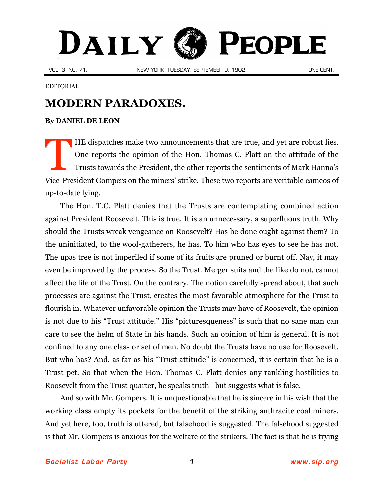## DAILY **PEOPLE**

VOL. 3, NO. 71. NEW YORK, TUESDAY, SEPTEMBER 9, 1902. ONE CENT.

EDITORIAL

## **MODERN PARADOXES.**

## **By [DANIEL DE LEON](http://slp.org/De_Leon.htm)**

HE dispatches make two announcements that are true, and yet are robust lies. One reports the opinion of the Hon. Thomas C. Platt on the attitude of the Trusts towards the President, the other reports the sentiments of Mark Hanna's Vice-President Gompers on the miners' strike. These two reports are veritable cameos of up-to-date lying. T

The Hon. T.C. Platt denies that the Trusts are contemplating combined action against President Roosevelt. This is true. It is an unnecessary, a superfluous truth. Why should the Trusts wreak vengeance on Roosevelt? Has he done ought against them? To the uninitiated, to the wool-gatherers, he has. To him who has eyes to see he has not. The upas tree is not imperiled if some of its fruits are pruned or burnt off. Nay, it may even be improved by the process. So the Trust. Merger suits and the like do not, cannot affect the life of the Trust. On the contrary. The notion carefully spread about, that such processes are against the Trust, creates the most favorable atmosphere for the Trust to flourish in. Whatever unfavorable opinion the Trusts may have of Roosevelt, the opinion is not due to his "Trust attitude." His "picturesqueness" is such that no sane man can care to see the helm of State in his hands. Such an opinion of him is general. It is not confined to any one class or set of men. No doubt the Trusts have no use for Roosevelt. But who has? And, as far as his "Trust attitude" is concerned, it is certain that he is a Trust pet. So that when the Hon. Thomas C. Platt denies any rankling hostilities to Roosevelt from the Trust quarter, he speaks truth—but suggests what is false.

And so with Mr. Gompers. It is unquestionable that he is sincere in his wish that the working class empty its pockets for the benefit of the striking anthracite coal miners. And yet here, too, truth is uttered, but falsehood is suggested. The falsehood suggested is that Mr. Gompers is anxious for the welfare of the strikers. The fact is that he is trying